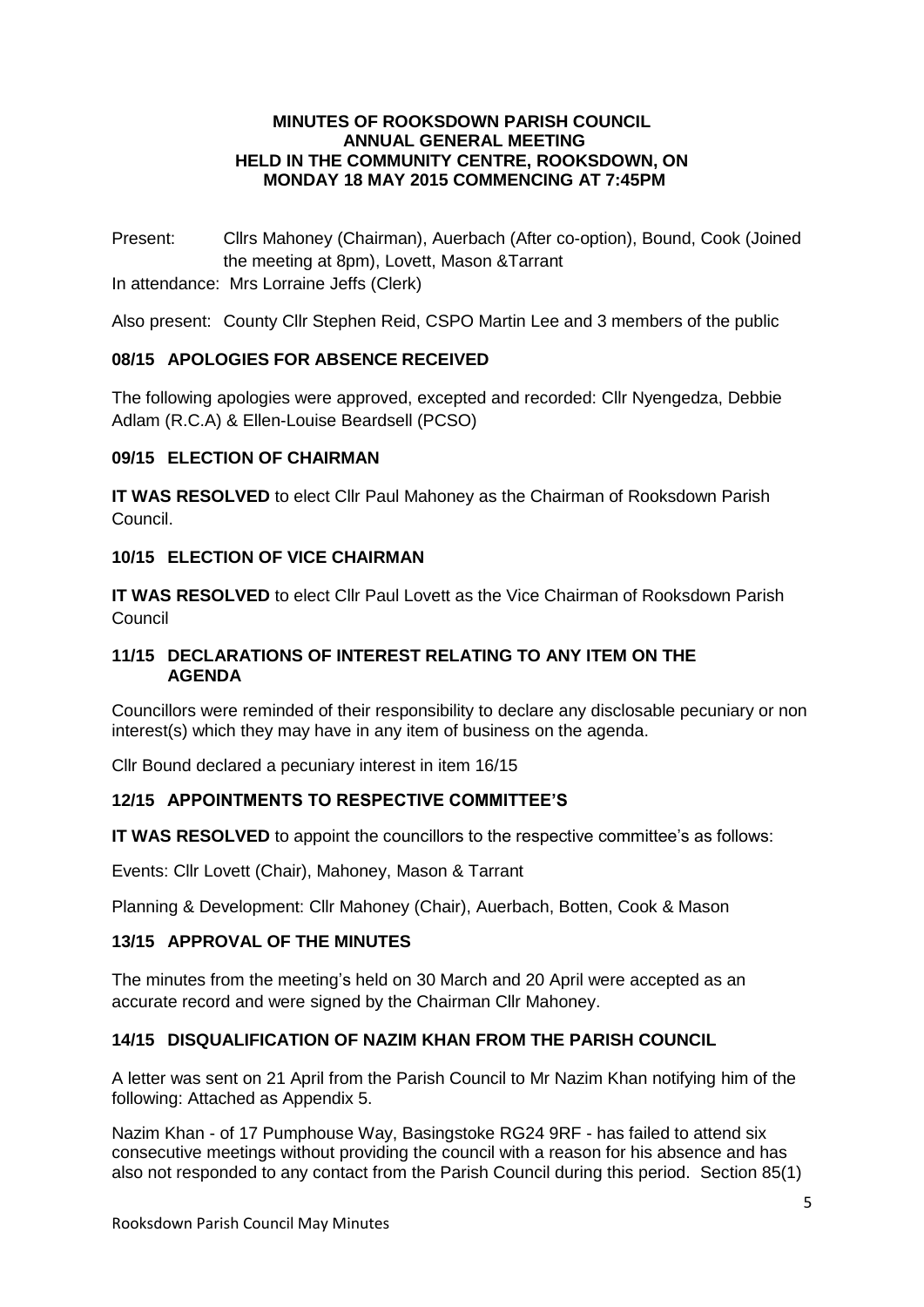#### **MINUTES OF ROOKSDOWN PARISH COUNCIL ANNUAL GENERAL MEETING HELD IN THE COMMUNITY CENTRE, ROOKSDOWN, ON MONDAY 18 MAY 2015 COMMENCING AT 7:45PM**

Present: Cllrs Mahoney (Chairman), Auerbach (After co-option), Bound, Cook (Joined the meeting at 8pm), Lovett, Mason &Tarrant

In attendance: Mrs Lorraine Jeffs (Clerk)

Also present: County Cllr Stephen Reid, CSPO Martin Lee and 3 members of the public

### **08/15 APOLOGIES FOR ABSENCE RECEIVED**

The following apologies were approved, excepted and recorded: Cllr Nyengedza, Debbie Adlam (R.C.A) & Ellen-Louise Beardsell (PCSO)

### **09/15 ELECTION OF CHAIRMAN**

**IT WAS RESOLVED** to elect Cllr Paul Mahoney as the Chairman of Rooksdown Parish Council.

#### **10/15 ELECTION OF VICE CHAIRMAN**

**IT WAS RESOLVED** to elect Cllr Paul Lovett as the Vice Chairman of Rooksdown Parish Council

### **11/15 DECLARATIONS OF INTEREST RELATING TO ANY ITEM ON THE AGENDA**

Councillors were reminded of their responsibility to declare any disclosable pecuniary or non interest(s) which they may have in any item of business on the agenda.

Cllr Bound declared a pecuniary interest in item 16/15

### **12/15 APPOINTMENTS TO RESPECTIVE COMMITTEE'S**

**IT WAS RESOLVED** to appoint the councillors to the respective committee's as follows:

Events: Cllr Lovett (Chair), Mahoney, Mason & Tarrant

Planning & Development: Cllr Mahoney (Chair), Auerbach, Botten, Cook & Mason

### **13/15 APPROVAL OF THE MINUTES**

The minutes from the meeting's held on 30 March and 20 April were accepted as an accurate record and were signed by the Chairman Cllr Mahoney.

### **14/15 DISQUALIFICATION OF NAZIM KHAN FROM THE PARISH COUNCIL**

A letter was sent on 21 April from the Parish Council to Mr Nazim Khan notifying him of the following: Attached as Appendix 5.

Nazim Khan - of 17 Pumphouse Way, Basingstoke RG24 9RF - has failed to attend six consecutive meetings without providing the council with a reason for his absence and has also not responded to any contact from the Parish Council during this period. Section 85(1)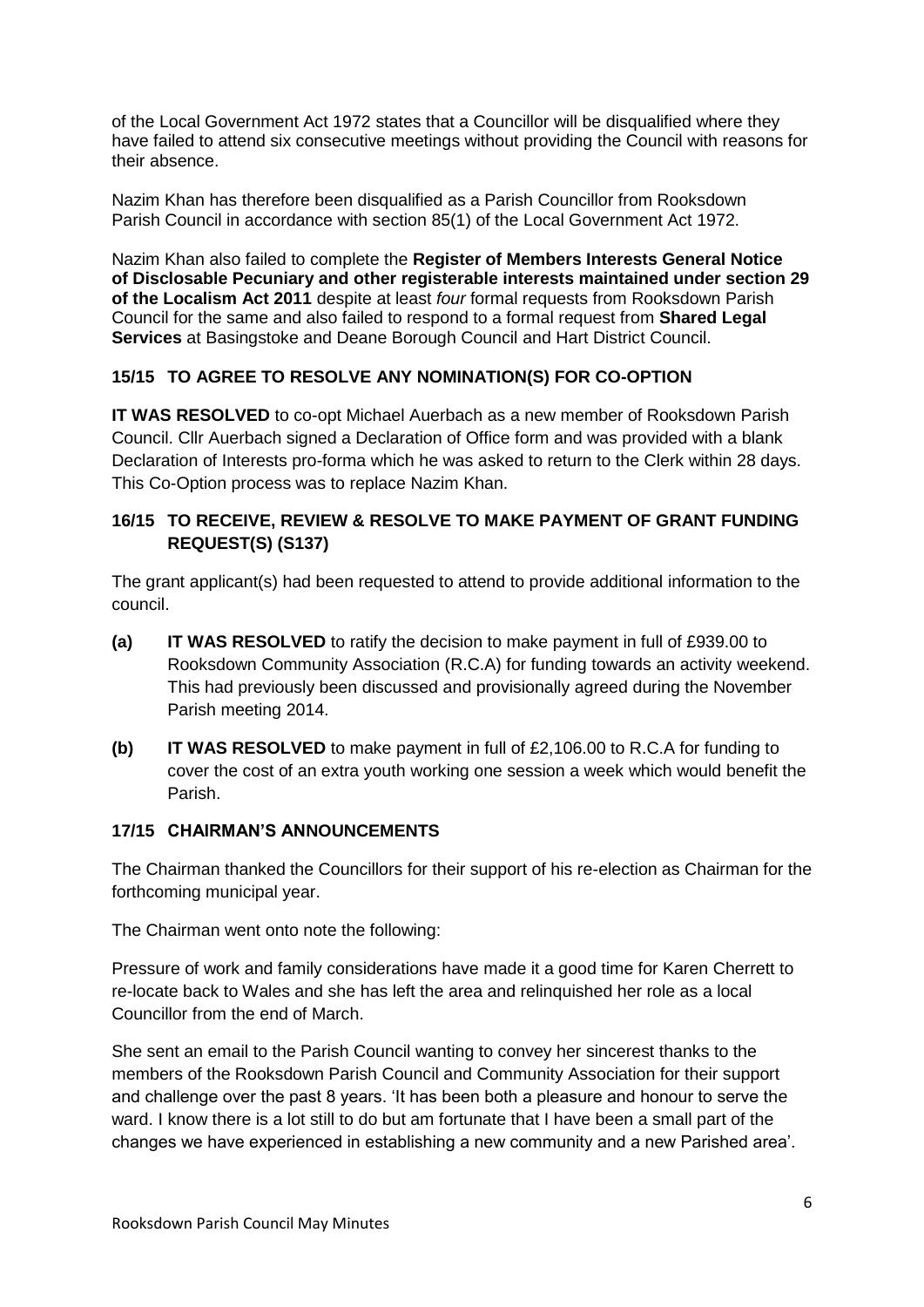of the Local Government Act 1972 states that a Councillor will be disqualified where they have failed to attend six consecutive meetings without providing the Council with reasons for their absence.

Nazim Khan has therefore been disqualified as a Parish Councillor from Rooksdown Parish Council in accordance with section 85(1) of the Local Government Act 1972.

Nazim Khan also failed to complete the **Register of Members Interests General Notice of Disclosable Pecuniary and other registerable interests maintained under section 29 of the Localism Act 2011** despite at least *four* formal requests from Rooksdown Parish Council for the same and also failed to respond to a formal request from **Shared Legal Services** at Basingstoke and Deane Borough Council and Hart District Council.

### **15/15 TO AGREE TO RESOLVE ANY NOMINATION(S) FOR CO-OPTION**

**IT WAS RESOLVED** to co-opt Michael Auerbach as a new member of Rooksdown Parish Council. Cllr Auerbach signed a Declaration of Office form and was provided with a blank Declaration of Interests pro-forma which he was asked to return to the Clerk within 28 days. This Co-Option process was to replace Nazim Khan.

# **16/15 TO RECEIVE, REVIEW & RESOLVE TO MAKE PAYMENT OF GRANT FUNDING REQUEST(S) (S137)**

The grant applicant(s) had been requested to attend to provide additional information to the council.

- **(a) IT WAS RESOLVED** to ratify the decision to make payment in full of £939.00 to Rooksdown Community Association (R.C.A) for funding towards an activity weekend. This had previously been discussed and provisionally agreed during the November Parish meeting 2014.
- **(b) IT WAS RESOLVED** to make payment in full of £2,106.00 to R.C.A for funding to cover the cost of an extra youth working one session a week which would benefit the Parish.

### **17/15 CHAIRMAN'S ANNOUNCEMENTS**

The Chairman thanked the Councillors for their support of his re-election as Chairman for the forthcoming municipal year.

The Chairman went onto note the following:

Pressure of work and family considerations have made it a good time for Karen Cherrett to re-locate back to Wales and she has left the area and relinquished her role as a local Councillor from the end of March.

She sent an email to the Parish Council wanting to convey her sincerest thanks to the members of the Rooksdown Parish Council and Community Association for their support and challenge over the past 8 years. 'It has been both a pleasure and honour to serve the ward. I know there is a lot still to do but am fortunate that I have been a small part of the changes we have experienced in establishing a new community and a new Parished area'.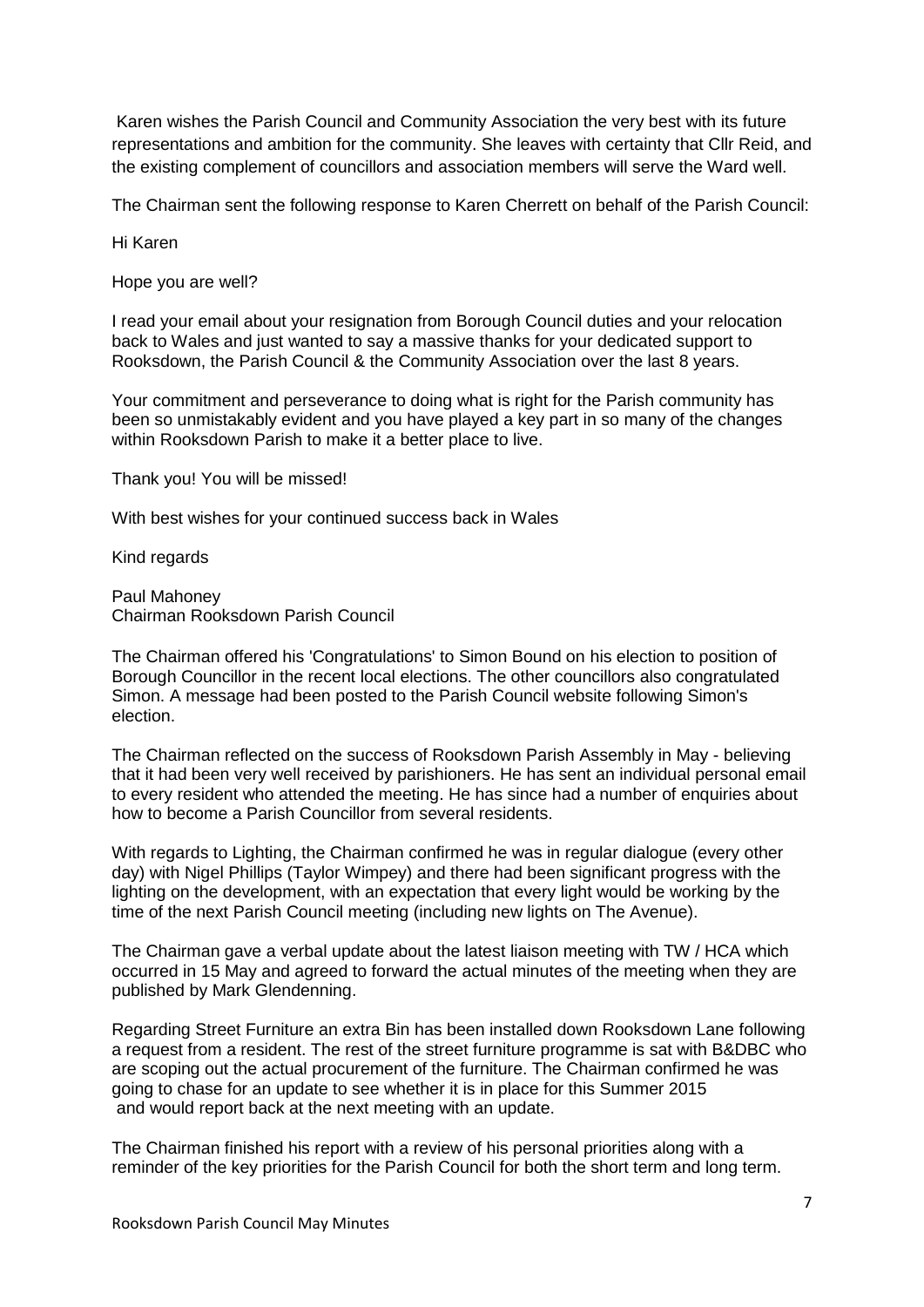Karen wishes the Parish Council and Community Association the very best with its future representations and ambition for the community. She leaves with certainty that Cllr Reid, and the existing complement of councillors and association members will serve the Ward well.

The Chairman sent the following response to Karen Cherrett on behalf of the Parish Council:

Hi Karen

Hope you are well?

I read your email about your resignation from Borough Council duties and your relocation back to Wales and just wanted to say a massive thanks for your dedicated support to Rooksdown, the Parish Council & the Community Association over the last 8 years.

Your commitment and perseverance to doing what is right for the Parish community has been so unmistakably evident and you have played a key part in so many of the changes within Rooksdown Parish to make it a better place to live.

Thank you! You will be missed!

With best wishes for your continued success back in Wales

Kind regards

Paul Mahoney Chairman Rooksdown Parish Council

The Chairman offered his 'Congratulations' to Simon Bound on his election to position of Borough Councillor in the recent local elections. The other councillors also congratulated Simon. A message had been posted to the Parish Council website following Simon's election.

The Chairman reflected on the success of Rooksdown Parish Assembly in May - believing that it had been very well received by parishioners. He has sent an individual personal email to every resident who attended the meeting. He has since had a number of enquiries about how to become a Parish Councillor from several residents.

With regards to Lighting, the Chairman confirmed he was in regular dialogue (every other day) with Nigel Phillips (Taylor Wimpey) and there had been significant progress with the lighting on the development, with an expectation that every light would be working by the time of the next Parish Council meeting (including new lights on The Avenue).

The Chairman gave a verbal update about the latest liaison meeting with TW / HCA which occurred in 15 May and agreed to forward the actual minutes of the meeting when they are published by Mark Glendenning.

Regarding Street Furniture an extra Bin has been installed down Rooksdown Lane following a request from a resident. The rest of the street furniture programme is sat with B&DBC who are scoping out the actual procurement of the furniture. The Chairman confirmed he was going to chase for an update to see whether it is in place for this Summer 2015 and would report back at the next meeting with an update.

The Chairman finished his report with a review of his personal priorities along with a reminder of the key priorities for the Parish Council for both the short term and long term.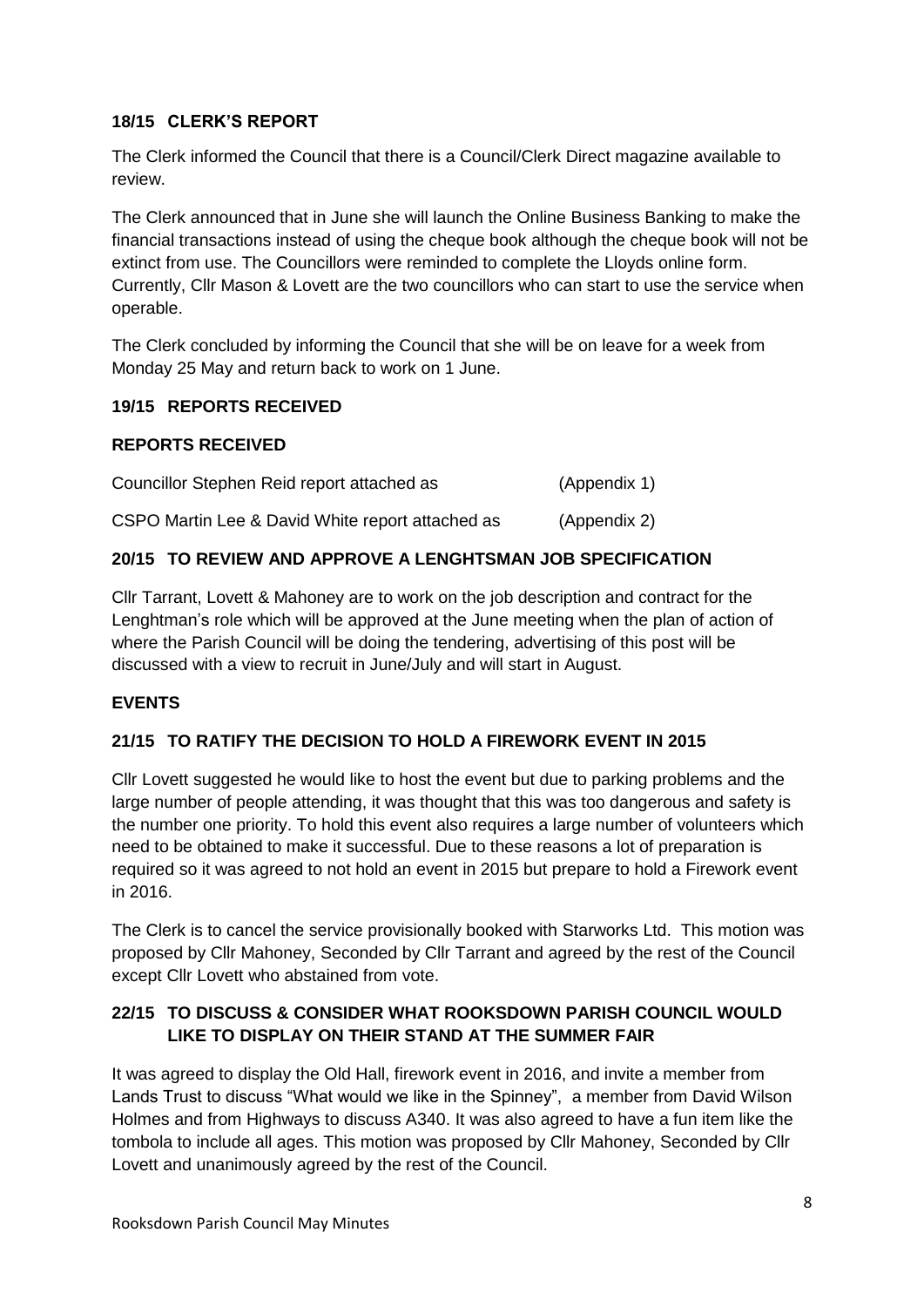# **18/15 CLERK'S REPORT**

The Clerk informed the Council that there is a Council/Clerk Direct magazine available to review.

The Clerk announced that in June she will launch the Online Business Banking to make the financial transactions instead of using the cheque book although the cheque book will not be extinct from use. The Councillors were reminded to complete the Lloyds online form. Currently, Cllr Mason & Lovett are the two councillors who can start to use the service when operable.

The Clerk concluded by informing the Council that she will be on leave for a week from Monday 25 May and return back to work on 1 June.

# **19/15 REPORTS RECEIVED**

### **REPORTS RECEIVED**

| Councillor Stephen Reid report attached as       | (Appendix 1) |
|--------------------------------------------------|--------------|
| CSPO Martin Lee & David White report attached as | (Appendix 2) |

# **20/15 TO REVIEW AND APPROVE A LENGHTSMAN JOB SPECIFICATION**

Cllr Tarrant, Lovett & Mahoney are to work on the job description and contract for the Lenghtman's role which will be approved at the June meeting when the plan of action of where the Parish Council will be doing the tendering, advertising of this post will be discussed with a view to recruit in June/July and will start in August.

# **EVENTS**

# **21/15 TO RATIFY THE DECISION TO HOLD A FIREWORK EVENT IN 2015**

Cllr Lovett suggested he would like to host the event but due to parking problems and the large number of people attending, it was thought that this was too dangerous and safety is the number one priority. To hold this event also requires a large number of volunteers which need to be obtained to make it successful. Due to these reasons a lot of preparation is required so it was agreed to not hold an event in 2015 but prepare to hold a Firework event in 2016.

The Clerk is to cancel the service provisionally booked with Starworks Ltd. This motion was proposed by Cllr Mahoney, Seconded by Cllr Tarrant and agreed by the rest of the Council except Cllr Lovett who abstained from vote.

# **22/15 TO DISCUSS & CONSIDER WHAT ROOKSDOWN PARISH COUNCIL WOULD LIKE TO DISPLAY ON THEIR STAND AT THE SUMMER FAIR**

It was agreed to display the Old Hall, firework event in 2016, and invite a member from Lands Trust to discuss "What would we like in the Spinney", a member from David Wilson Holmes and from Highways to discuss A340. It was also agreed to have a fun item like the tombola to include all ages. This motion was proposed by Cllr Mahoney, Seconded by Cllr Lovett and unanimously agreed by the rest of the Council.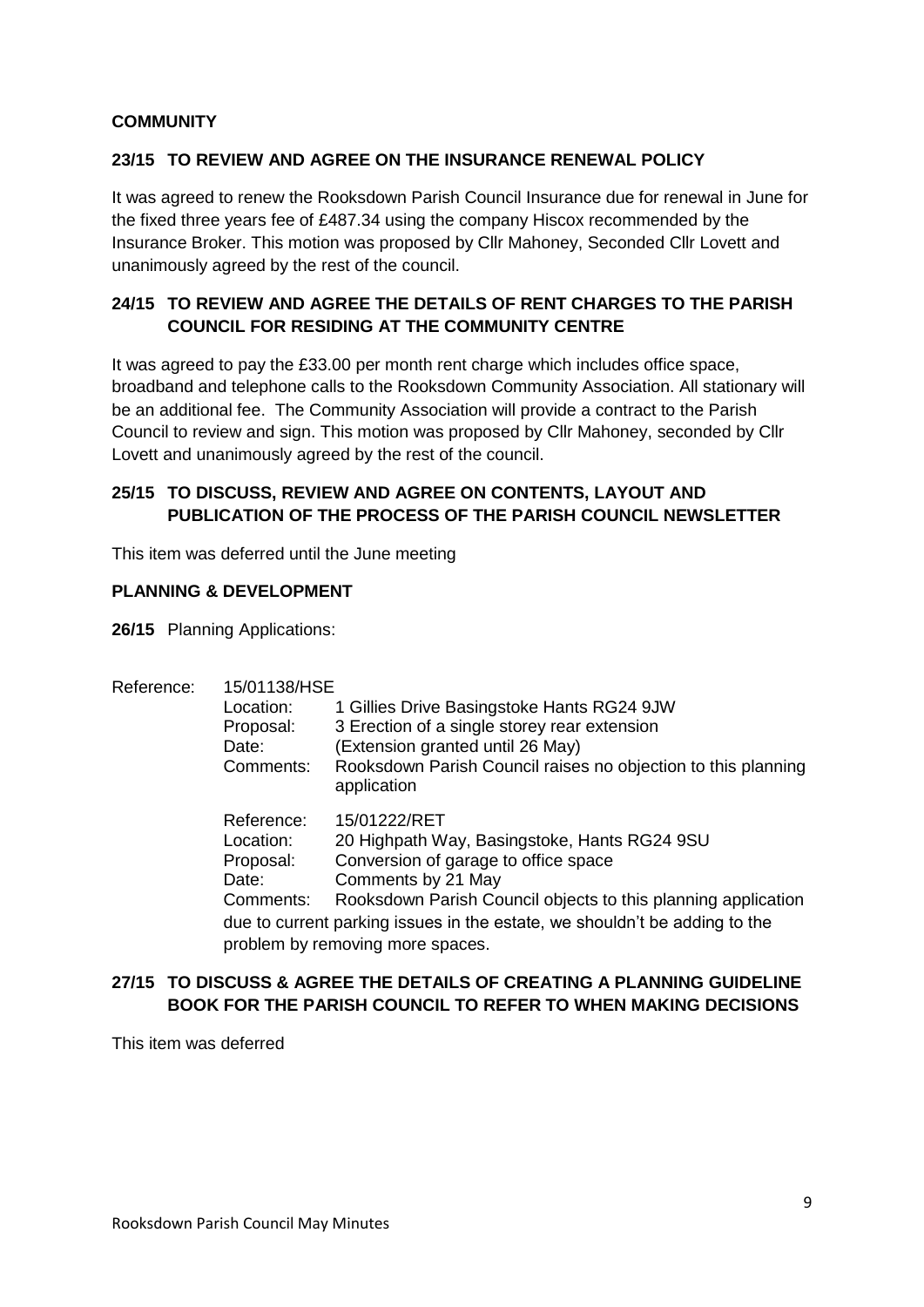# **COMMUNITY**

### **23/15 TO REVIEW AND AGREE ON THE INSURANCE RENEWAL POLICY**

It was agreed to renew the Rooksdown Parish Council Insurance due for renewal in June for the fixed three years fee of £487.34 using the company Hiscox recommended by the Insurance Broker. This motion was proposed by Cllr Mahoney, Seconded Cllr Lovett and unanimously agreed by the rest of the council.

# **24/15 TO REVIEW AND AGREE THE DETAILS OF RENT CHARGES TO THE PARISH COUNCIL FOR RESIDING AT THE COMMUNITY CENTRE**

It was agreed to pay the £33.00 per month rent charge which includes office space, broadband and telephone calls to the Rooksdown Community Association. All stationary will be an additional fee. The Community Association will provide a contract to the Parish Council to review and sign. This motion was proposed by Cllr Mahoney, seconded by Cllr Lovett and unanimously agreed by the rest of the council.

### **25/15 TO DISCUSS, REVIEW AND AGREE ON CONTENTS, LAYOUT AND PUBLICATION OF THE PROCESS OF THE PARISH COUNCIL NEWSLETTER**

This item was deferred until the June meeting

### **PLANNING & DEVELOPMENT**

**26/15** Planning Applications:

| Reference: | 15/01138/HSE                                                                                                   |                                                                              |  |  |
|------------|----------------------------------------------------------------------------------------------------------------|------------------------------------------------------------------------------|--|--|
|            | Location:                                                                                                      | 1 Gillies Drive Basingstoke Hants RG24 9JW                                   |  |  |
|            | Proposal:                                                                                                      | 3 Erection of a single storey rear extension                                 |  |  |
|            | Date:                                                                                                          | (Extension granted until 26 May)                                             |  |  |
|            | Comments:                                                                                                      | Rooksdown Parish Council raises no objection to this planning<br>application |  |  |
|            | Reference:                                                                                                     | 15/01222/RET                                                                 |  |  |
|            | Location:                                                                                                      | 20 Highpath Way, Basingstoke, Hants RG24 9SU                                 |  |  |
|            | Proposal:                                                                                                      | Conversion of garage to office space                                         |  |  |
|            | Date:                                                                                                          | Comments by 21 May                                                           |  |  |
|            | Comments:                                                                                                      | Rooksdown Parish Council objects to this planning application                |  |  |
|            | due to current parking issues in the estate, we shouldn't be adding to the<br>problem by removing more spaces. |                                                                              |  |  |
|            |                                                                                                                |                                                                              |  |  |

# **27/15 TO DISCUSS & AGREE THE DETAILS OF CREATING A PLANNING GUIDELINE BOOK FOR THE PARISH COUNCIL TO REFER TO WHEN MAKING DECISIONS**

This item was deferred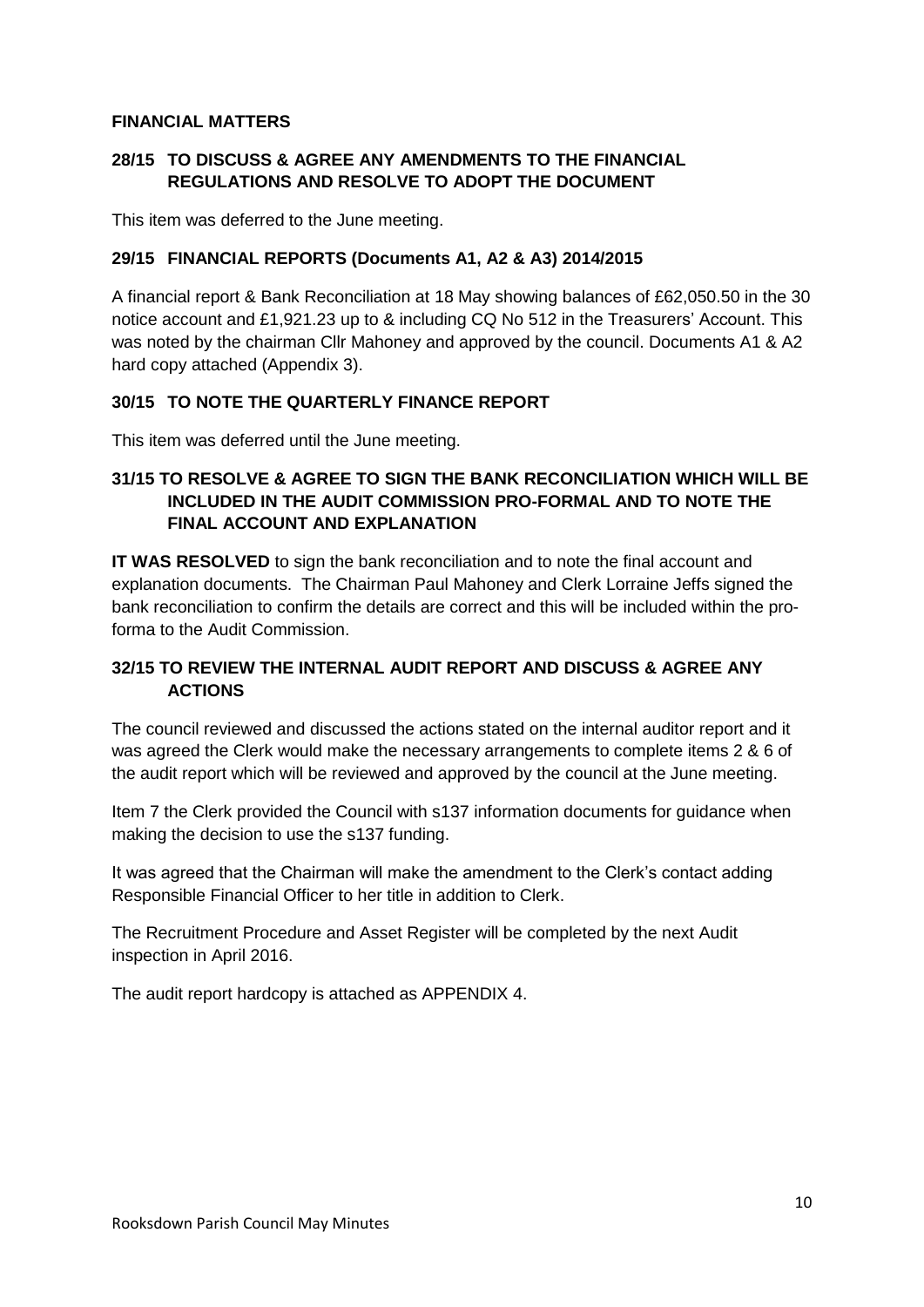### **FINANCIAL MATTERS**

# **28/15 TO DISCUSS & AGREE ANY AMENDMENTS TO THE FINANCIAL REGULATIONS AND RESOLVE TO ADOPT THE DOCUMENT**

This item was deferred to the June meeting.

### **29/15 FINANCIAL REPORTS (Documents A1, A2 & A3) 2014/2015**

A financial report & Bank Reconciliation at 18 May showing balances of £62,050.50 in the 30 notice account and £1,921.23 up to & including CQ No 512 in the Treasurers' Account. This was noted by the chairman Cllr Mahoney and approved by the council. Documents A1 & A2 hard copy attached (Appendix 3).

### **30/15 TO NOTE THE QUARTERLY FINANCE REPORT**

This item was deferred until the June meeting.

# **31/15 TO RESOLVE & AGREE TO SIGN THE BANK RECONCILIATION WHICH WILL BE INCLUDED IN THE AUDIT COMMISSION PRO-FORMAL AND TO NOTE THE FINAL ACCOUNT AND EXPLANATION**

**IT WAS RESOLVED** to sign the bank reconciliation and to note the final account and explanation documents. The Chairman Paul Mahoney and Clerk Lorraine Jeffs signed the bank reconciliation to confirm the details are correct and this will be included within the proforma to the Audit Commission.

# **32/15 TO REVIEW THE INTERNAL AUDIT REPORT AND DISCUSS & AGREE ANY ACTIONS**

The council reviewed and discussed the actions stated on the internal auditor report and it was agreed the Clerk would make the necessary arrangements to complete items 2 & 6 of the audit report which will be reviewed and approved by the council at the June meeting.

Item 7 the Clerk provided the Council with s137 information documents for guidance when making the decision to use the s137 funding.

It was agreed that the Chairman will make the amendment to the Clerk's contact adding Responsible Financial Officer to her title in addition to Clerk.

The Recruitment Procedure and Asset Register will be completed by the next Audit inspection in April 2016.

The audit report hardcopy is attached as APPENDIX 4.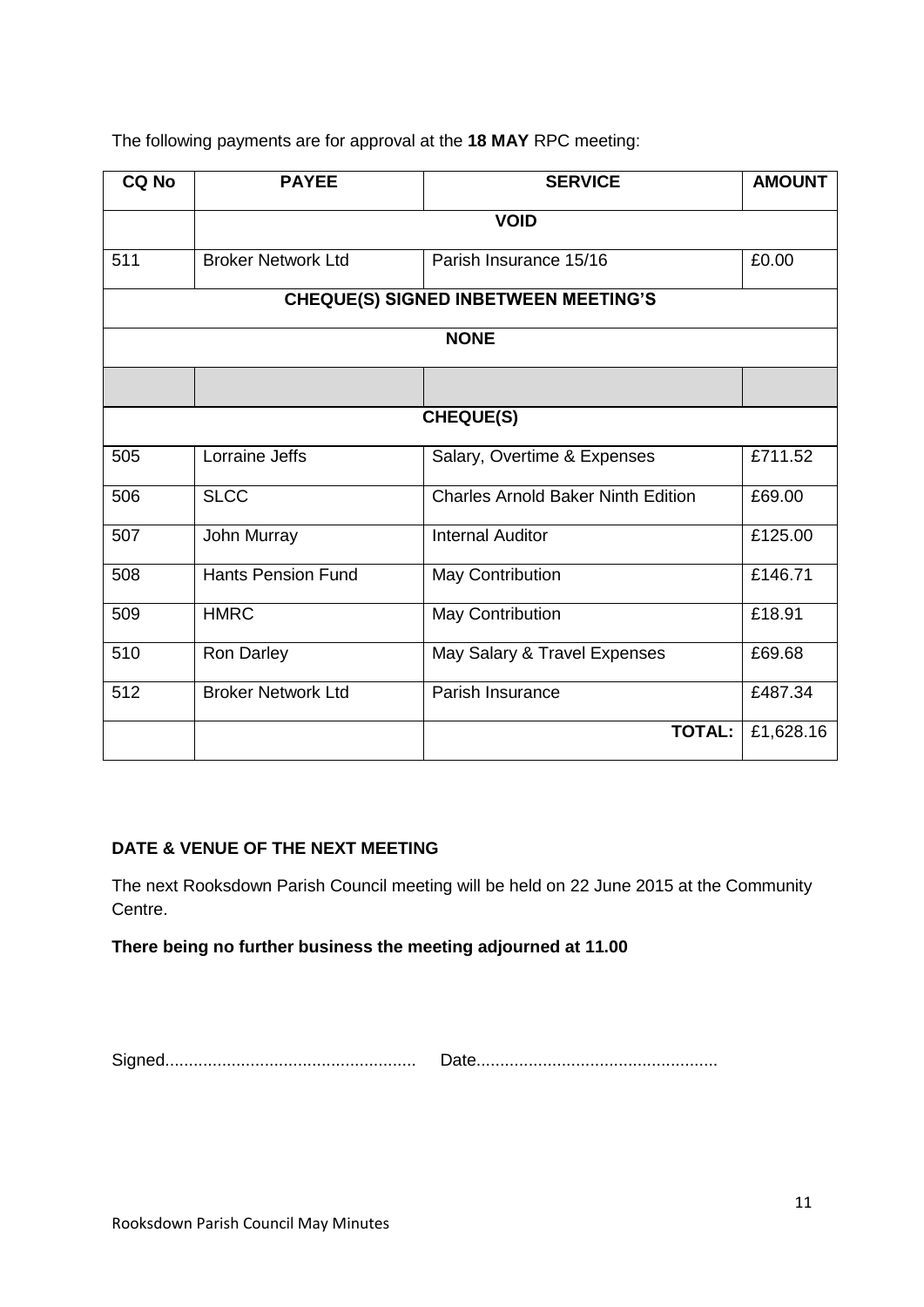The following payments are for approval at the **18 MAY** RPC meeting:

| <b>CQ No</b>                                | <b>PAYEE</b>              | <b>SERVICE</b>                            | <b>AMOUNT</b> |  |  |
|---------------------------------------------|---------------------------|-------------------------------------------|---------------|--|--|
|                                             | <b>VOID</b>               |                                           |               |  |  |
| 511                                         | <b>Broker Network Ltd</b> | Parish Insurance 15/16                    | £0.00         |  |  |
| <b>CHEQUE(S) SIGNED INBETWEEN MEETING'S</b> |                           |                                           |               |  |  |
| <b>NONE</b>                                 |                           |                                           |               |  |  |
|                                             |                           |                                           |               |  |  |
| <b>CHEQUE(S)</b>                            |                           |                                           |               |  |  |
| 505                                         | Lorraine Jeffs            | Salary, Overtime & Expenses               | £711.52       |  |  |
| 506                                         | <b>SLCC</b>               | <b>Charles Arnold Baker Ninth Edition</b> | £69.00        |  |  |
| 507                                         | John Murray               | <b>Internal Auditor</b>                   | £125.00       |  |  |
| 508                                         | <b>Hants Pension Fund</b> | May Contribution                          | £146.71       |  |  |
| 509                                         | <b>HMRC</b>               | <b>May Contribution</b>                   | £18.91        |  |  |
| 510                                         | Ron Darley                | May Salary & Travel Expenses              | £69.68        |  |  |
| 512                                         | <b>Broker Network Ltd</b> | Parish Insurance                          | £487.34       |  |  |
|                                             |                           | <b>TOTAL:</b>                             | £1,628.16     |  |  |

# **DATE & VENUE OF THE NEXT MEETING**

The next Rooksdown Parish Council meeting will be held on 22 June 2015 at the Community Centre.

**There being no further business the meeting adjourned at 11.00**

Signed..................................................... Date...................................................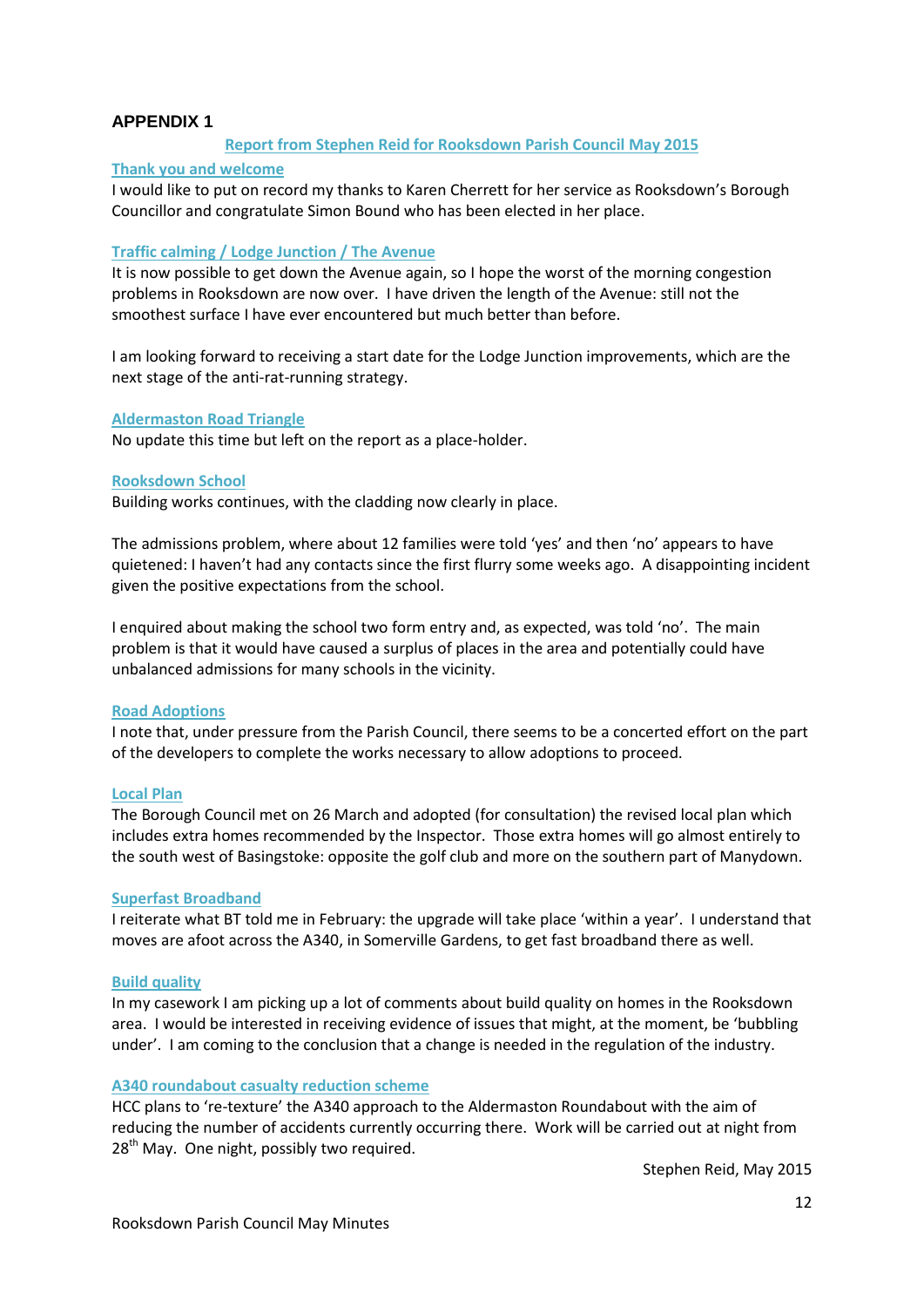#### **APPENDIX 1**

#### **Report from Stephen Reid for Rooksdown Parish Council May 2015**

#### **Thank you and welcome**

I would like to put on record my thanks to Karen Cherrett for her service as Rooksdown's Borough Councillor and congratulate Simon Bound who has been elected in her place.

#### **Traffic calming / Lodge Junction / The Avenue**

It is now possible to get down the Avenue again, so I hope the worst of the morning congestion problems in Rooksdown are now over. I have driven the length of the Avenue: still not the smoothest surface I have ever encountered but much better than before.

I am looking forward to receiving a start date for the Lodge Junction improvements, which are the next stage of the anti-rat-running strategy.

#### **Aldermaston Road Triangle**

No update this time but left on the report as a place-holder.

#### **Rooksdown School**

Building works continues, with the cladding now clearly in place.

The admissions problem, where about 12 families were told 'yes' and then 'no' appears to have quietened: I haven't had any contacts since the first flurry some weeks ago. A disappointing incident given the positive expectations from the school.

I enquired about making the school two form entry and, as expected, was told 'no'. The main problem is that it would have caused a surplus of places in the area and potentially could have unbalanced admissions for many schools in the vicinity.

#### **Road Adoptions**

I note that, under pressure from the Parish Council, there seems to be a concerted effort on the part of the developers to complete the works necessary to allow adoptions to proceed.

#### **Local Plan**

The Borough Council met on 26 March and adopted (for consultation) the revised local plan which includes extra homes recommended by the Inspector. Those extra homes will go almost entirely to the south west of Basingstoke: opposite the golf club and more on the southern part of Manydown.

#### **Superfast Broadband**

I reiterate what BT told me in February: the upgrade will take place 'within a year'. I understand that moves are afoot across the A340, in Somerville Gardens, to get fast broadband there as well.

#### **Build quality**

In my casework I am picking up a lot of comments about build quality on homes in the Rooksdown area. I would be interested in receiving evidence of issues that might, at the moment, be 'bubbling under'. I am coming to the conclusion that a change is needed in the regulation of the industry.

#### **A340 roundabout casualty reduction scheme**

HCC plans to 're-texture' the A340 approach to the Aldermaston Roundabout with the aim of reducing the number of accidents currently occurring there. Work will be carried out at night from  $28<sup>th</sup>$  May. One night, possibly two required.

Stephen Reid, May 2015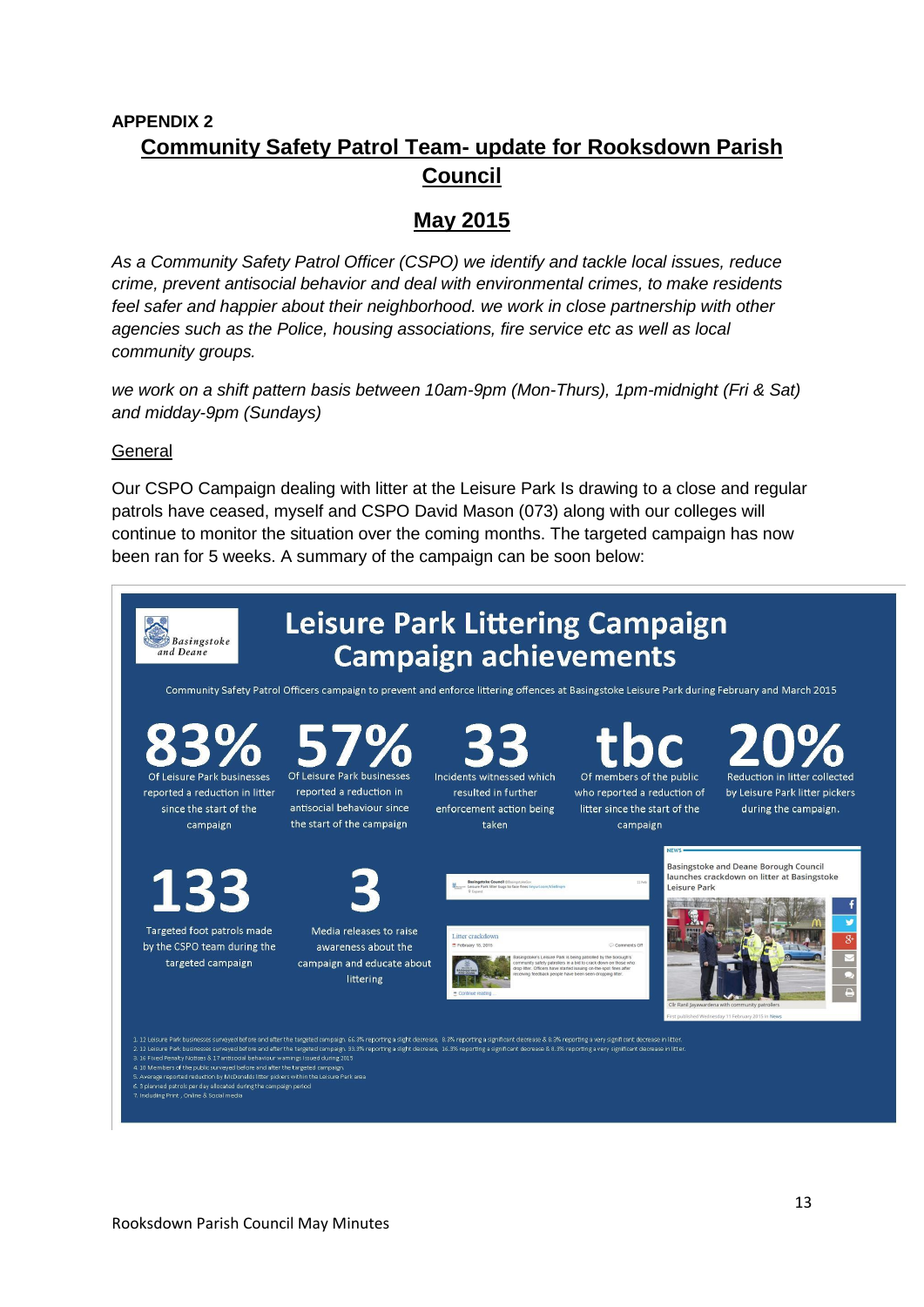# **APPENDIX 2 Community Safety Patrol Team- update for Rooksdown Parish Council**

# **May 2015**

*As a Community Safety Patrol Officer (CSPO) we identify and tackle local issues, reduce crime, prevent antisocial behavior and deal with environmental crimes, to make residents feel safer and happier about their neighborhood. we work in close partnership with other agencies such as the Police, housing associations, fire service etc as well as local community groups.* 

*we work on a shift pattern basis between 10am-9pm (Mon-Thurs), 1pm-midnight (Fri & Sat) and midday-9pm (Sundays)*

### General

Our CSPO Campaign dealing with litter at the Leisure Park Is drawing to a close and regular patrols have ceased, myself and CSPO David Mason (073) along with our colleges will continue to monitor the situation over the coming months. The targeted campaign has now been ran for 5 weeks. A summary of the campaign can be soon below:

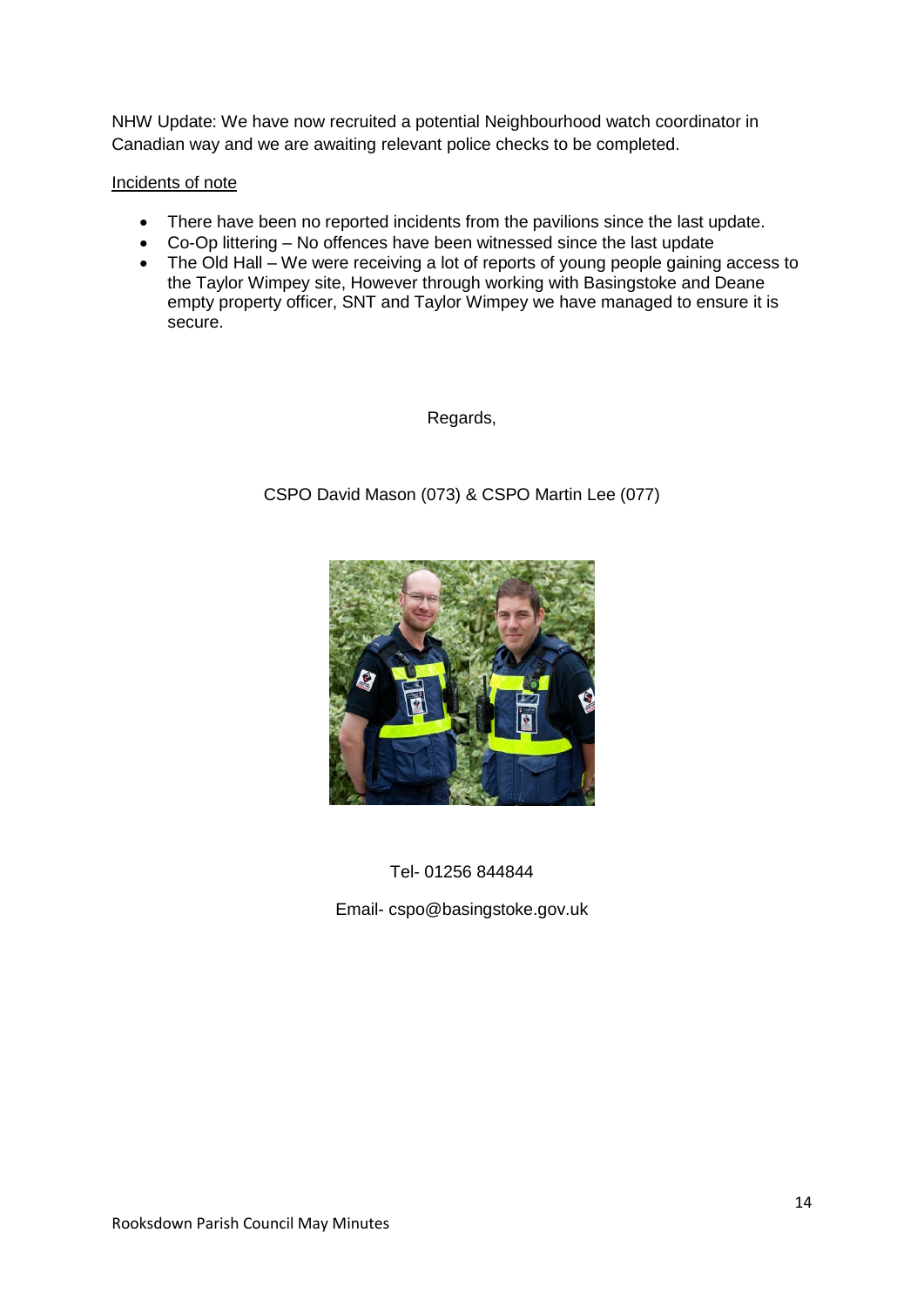NHW Update: We have now recruited a potential Neighbourhood watch coordinator in Canadian way and we are awaiting relevant police checks to be completed.

#### Incidents of note

- There have been no reported incidents from the pavilions since the last update.
- Co-Op littering No offences have been witnessed since the last update
- The Old Hall We were receiving a lot of reports of young people gaining access to the Taylor Wimpey site, However through working with Basingstoke and Deane empty property officer, SNT and Taylor Wimpey we have managed to ensure it is secure.

Regards,

CSPO David Mason (073) & CSPO Martin Lee (077)



Tel- 01256 844844

Email- cspo@basingstoke.gov.uk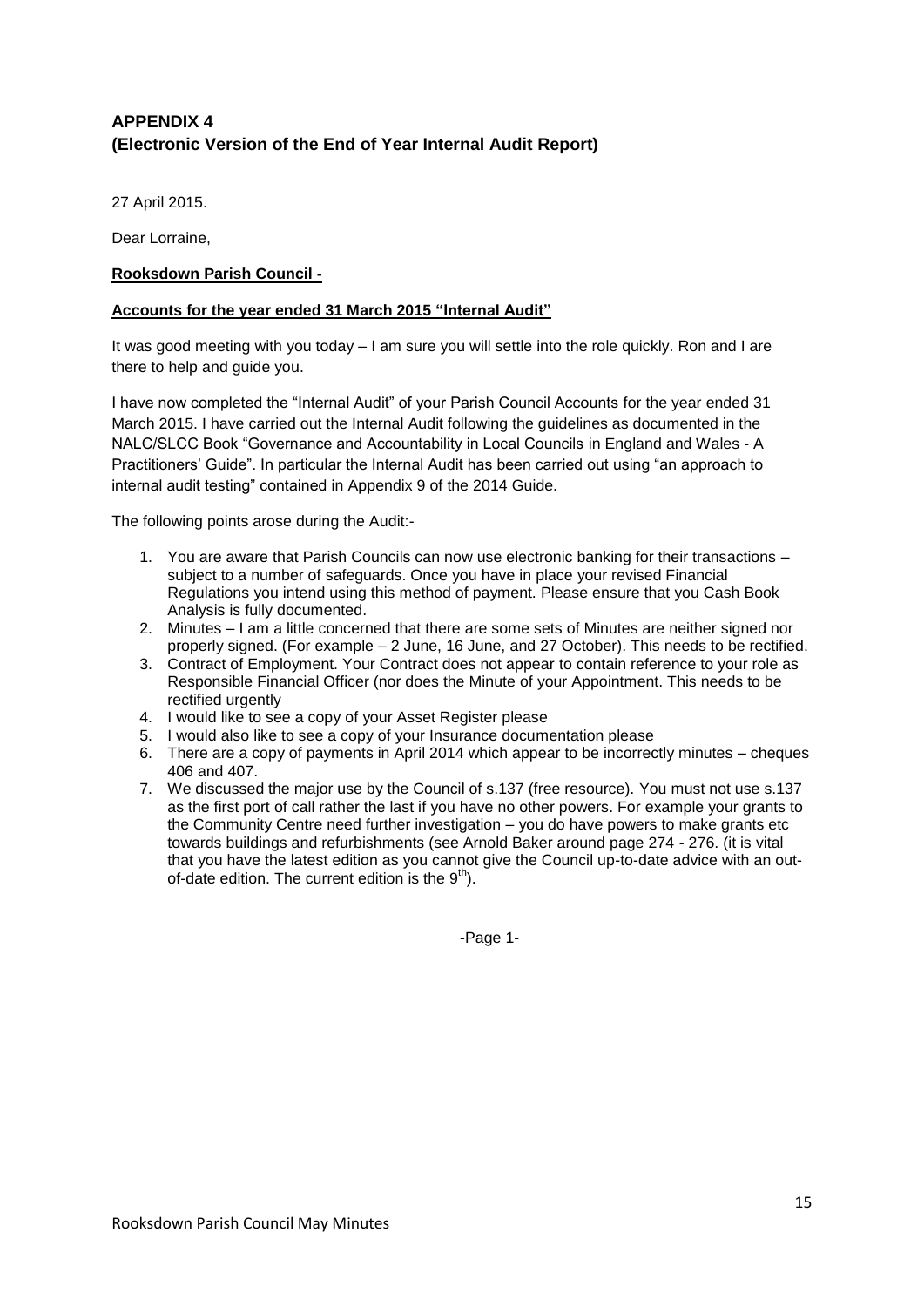# **APPENDIX 4 (Electronic Version of the End of Year Internal Audit Report)**

27 April 2015.

Dear Lorraine,

#### **Rooksdown Parish Council -**

#### **Accounts for the year ended 31 March 2015 "Internal Audit"**

It was good meeting with you today – I am sure you will settle into the role quickly. Ron and I are there to help and guide you.

I have now completed the "Internal Audit" of your Parish Council Accounts for the year ended 31 March 2015. I have carried out the Internal Audit following the guidelines as documented in the NALC/SLCC Book "Governance and Accountability in Local Councils in England and Wales - A Practitioners' Guide". In particular the Internal Audit has been carried out using "an approach to internal audit testing" contained in Appendix 9 of the 2014 Guide.

The following points arose during the Audit:-

- 1. You are aware that Parish Councils can now use electronic banking for their transactions subject to a number of safeguards. Once you have in place your revised Financial Regulations you intend using this method of payment. Please ensure that you Cash Book Analysis is fully documented.
- 2. Minutes I am a little concerned that there are some sets of Minutes are neither signed nor properly signed. (For example – 2 June, 16 June, and 27 October). This needs to be rectified.
- 3. Contract of Employment. Your Contract does not appear to contain reference to your role as Responsible Financial Officer (nor does the Minute of your Appointment. This needs to be rectified urgently
- 4. I would like to see a copy of your Asset Register please
- 5. I would also like to see a copy of your Insurance documentation please
- 6. There are a copy of payments in April 2014 which appear to be incorrectly minutes cheques 406 and 407.
- 7. We discussed the major use by the Council of s.137 (free resource). You must not use s.137 as the first port of call rather the last if you have no other powers. For example your grants to the Community Centre need further investigation – you do have powers to make grants etc towards buildings and refurbishments (see Arnold Baker around page 274 - 276. (it is vital that you have the latest edition as you cannot give the Council up-to-date advice with an outof-date edition. The current edition is the  $9<sup>th</sup>$ .

-Page 1-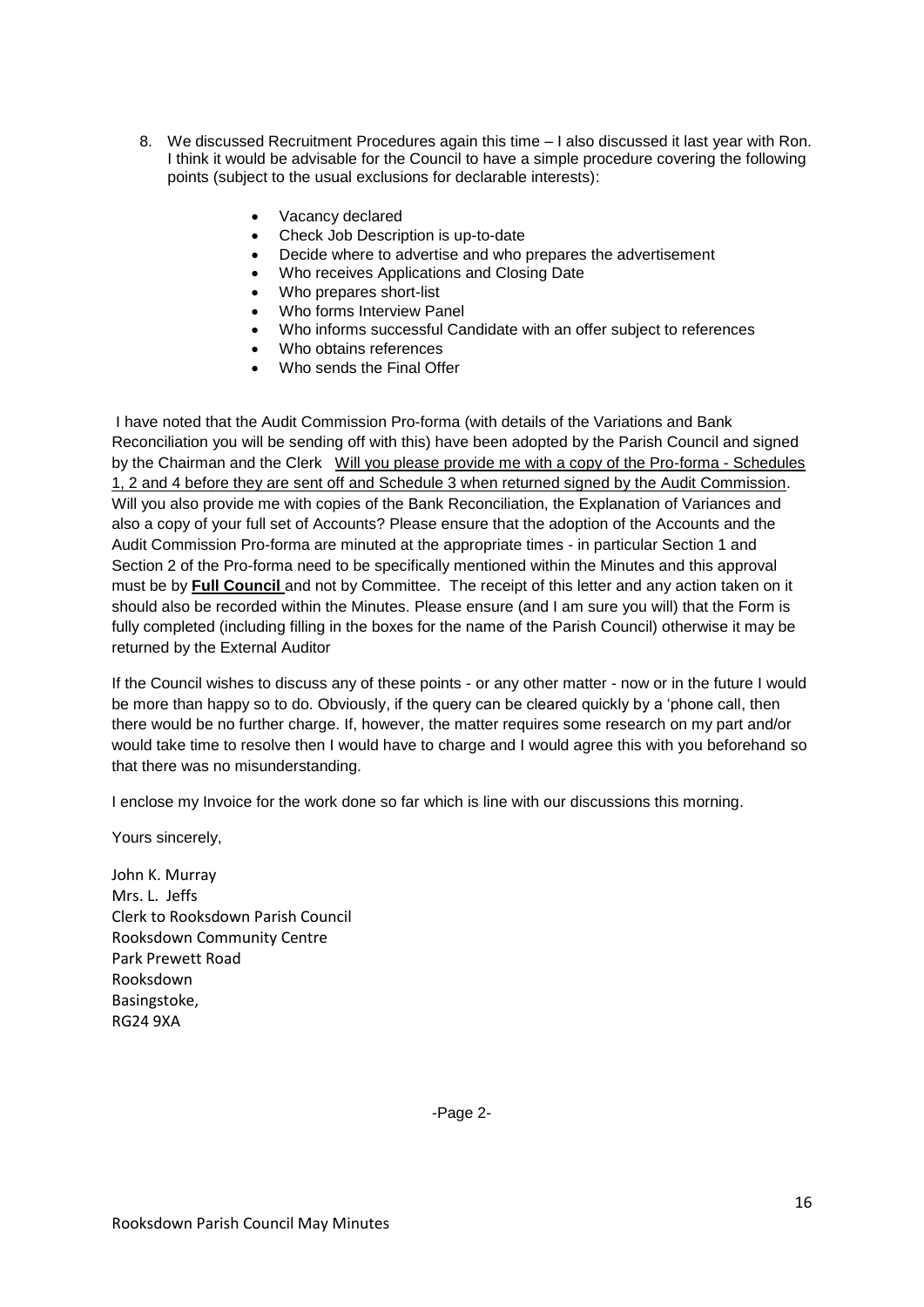- 8. We discussed Recruitment Procedures again this time I also discussed it last year with Ron. I think it would be advisable for the Council to have a simple procedure covering the following points (subject to the usual exclusions for declarable interests):
	- Vacancy declared
	- Check Job Description is up-to-date
	- Decide where to advertise and who prepares the advertisement
	- Who receives Applications and Closing Date
	- Who prepares short-list
	- Who forms Interview Panel
	- Who informs successful Candidate with an offer subject to references
	- Who obtains references
	- Who sends the Final Offer

I have noted that the Audit Commission Pro-forma (with details of the Variations and Bank Reconciliation you will be sending off with this) have been adopted by the Parish Council and signed by the Chairman and the Clerk Will you please provide me with a copy of the Pro-forma - Schedules 1, 2 and 4 before they are sent off and Schedule 3 when returned signed by the Audit Commission. Will you also provide me with copies of the Bank Reconciliation, the Explanation of Variances and also a copy of your full set of Accounts? Please ensure that the adoption of the Accounts and the Audit Commission Pro-forma are minuted at the appropriate times - in particular Section 1 and Section 2 of the Pro-forma need to be specifically mentioned within the Minutes and this approval must be by **Full Council** and not by Committee. The receipt of this letter and any action taken on it should also be recorded within the Minutes. Please ensure (and I am sure you will) that the Form is fully completed (including filling in the boxes for the name of the Parish Council) otherwise it may be returned by the External Auditor

If the Council wishes to discuss any of these points - or any other matter - now or in the future I would be more than happy so to do. Obviously, if the query can be cleared quickly by a 'phone call, then there would be no further charge. If, however, the matter requires some research on my part and/or would take time to resolve then I would have to charge and I would agree this with you beforehand so that there was no misunderstanding.

I enclose my Invoice for the work done so far which is line with our discussions this morning.

Yours sincerely,

John K. Murray Mrs. L. Jeffs Clerk to Rooksdown Parish Council Rooksdown Community Centre Park Prewett Road Rooksdown Basingstoke, RG24 9XA

-Page 2-